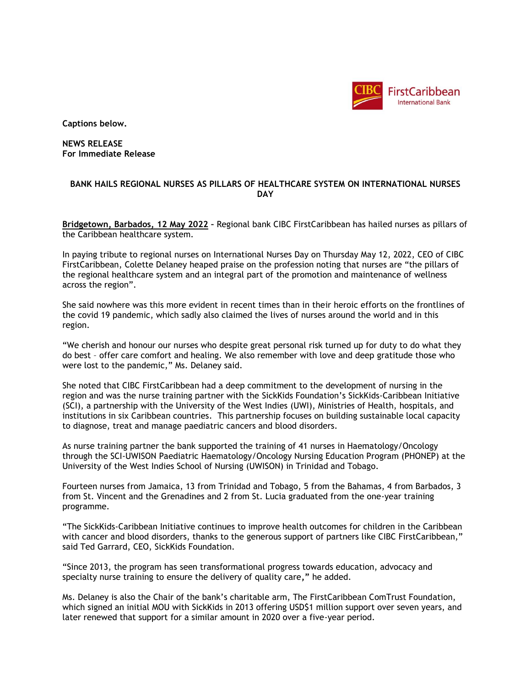

**Captions below.**

**NEWS RELEASE For Immediate Release**

## **BANK HAILS REGIONAL NURSES AS PILLARS OF HEALTHCARE SYSTEM ON INTERNATIONAL NURSES DAY**

**Bridgetown, Barbados, 12 May 2022 –** Regional bank CIBC FirstCaribbean has hailed nurses as pillars of the Caribbean healthcare system.

In paying tribute to regional nurses on International Nurses Day on Thursday May 12, 2022, CEO of CIBC FirstCaribbean, Colette Delaney heaped praise on the profession noting that nurses are "the pillars of the regional healthcare system and an integral part of the promotion and maintenance of wellness across the region".

She said nowhere was this more evident in recent times than in their heroic efforts on the frontlines of the covid 19 pandemic, which sadly also claimed the lives of nurses around the world and in this region.

"We cherish and honour our nurses who despite great personal risk turned up for duty to do what they do best – offer care comfort and healing. We also remember with love and deep gratitude those who were lost to the pandemic," Ms. Delaney said.

She noted that CIBC FirstCaribbean had a deep commitment to the development of nursing in the region and was the nurse training partner with the SickKids Foundation's SickKids-Caribbean Initiative (SCI), a partnership with the University of the West Indies (UWI), Ministries of Health, hospitals, and institutions in six Caribbean countries. This partnership focuses on building sustainable local capacity to diagnose, treat and manage paediatric cancers and blood disorders.

As nurse training partner the bank supported the training of 41 nurses in Haematology/Oncology through the SCI-UWISON Paediatric Haematology/Oncology Nursing Education Program (PHONEP) at the University of the West Indies School of Nursing (UWISON) in Trinidad and Tobago.

Fourteen nurses from Jamaica, 13 from Trinidad and Tobago, 5 from the Bahamas, 4 from Barbados, 3 from St. Vincent and the Grenadines and 2 from St. Lucia graduated from the one-year training programme.

"The SickKids-Caribbean Initiative continues to improve health outcomes for children in the Caribbean with cancer and blood disorders, thanks to the generous support of partners like CIBC FirstCaribbean," said Ted Garrard, CEO, SickKids Foundation.

"Since 2013, the program has seen transformational progress towards education, advocacy and specialty nurse training to ensure the delivery of quality care**,"** he added.

Ms. Delaney is also the Chair of the bank's charitable arm, The FirstCaribbean ComTrust Foundation, which signed an initial MOU with SickKids in 2013 offering USD\$1 million support over seven years, and later renewed that support for a similar amount in 2020 over a five-year period.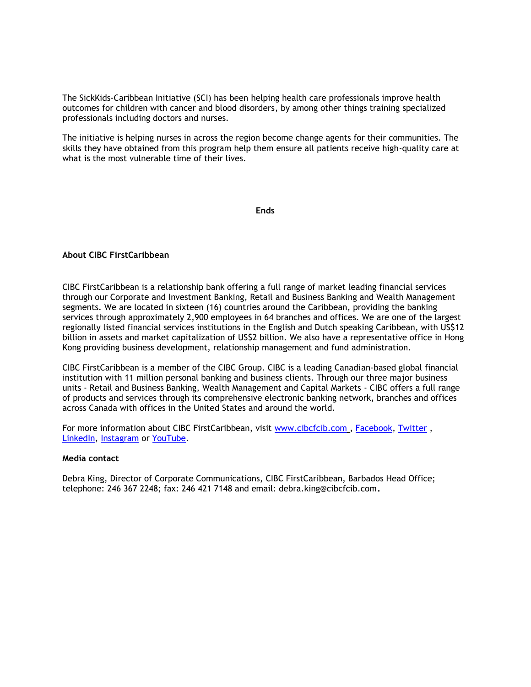The SickKids-Caribbean Initiative (SCI) has been helping health care professionals improve health outcomes for children with cancer and blood disorders, by among other things training specialized professionals including doctors and nurses.

The initiative is helping nurses in across the region become change agents for their communities. The skills they have obtained from this program help them ensure all patients receive high-quality care at what is the most vulnerable time of their lives.

**Ends**

## **About CIBC FirstCaribbean**

CIBC FirstCaribbean is a relationship bank offering a full range of market leading financial services through our Corporate and Investment Banking, Retail and Business Banking and Wealth Management segments. We are located in sixteen (16) countries around the Caribbean, providing the banking services through approximately 2,900 employees in 64 branches and offices. We are one of the largest regionally listed financial services institutions in the English and Dutch speaking Caribbean, with US\$12 billion in assets and market capitalization of US\$2 billion. We also have a representative office in Hong Kong providing business development, relationship management and fund administration.

CIBC FirstCaribbean is a member of the CIBC Group. CIBC is a leading Canadian-based global financial institution with 11 million personal banking and business clients. Through our three major business units - Retail and Business Banking, Wealth Management and Capital Markets - CIBC offers a full range of products and services through its comprehensive electronic banking network, branches and offices across Canada with offices in the United States and around the world.

For more information about CIBC FirstCaribbean, visit [www.cibcfcib.com](http://www.cibcfcib.com/) , [Facebook,](https://www.facebook.com/CIBCFCIB/) [Twitter](https://twitter.com/CIBC_FCIB?lang=en) , [LinkedIn,](https://www.linkedin.com/company/cibc-firstcaribbean-international-bank/?viewAsMember=true) [Instagram](https://www.instagram.com/cibcfirstcaribbean/) or [YouTube.](https://youtube.com/user/CIBCFirstCaribbean)

## **Media contact**

Debra King, Director of Corporate Communications, CIBC FirstCaribbean, Barbados Head Office; telephone: 246 367 2248; fax: 246 421 7148 and email: debra.king@cibcfcib.com**.**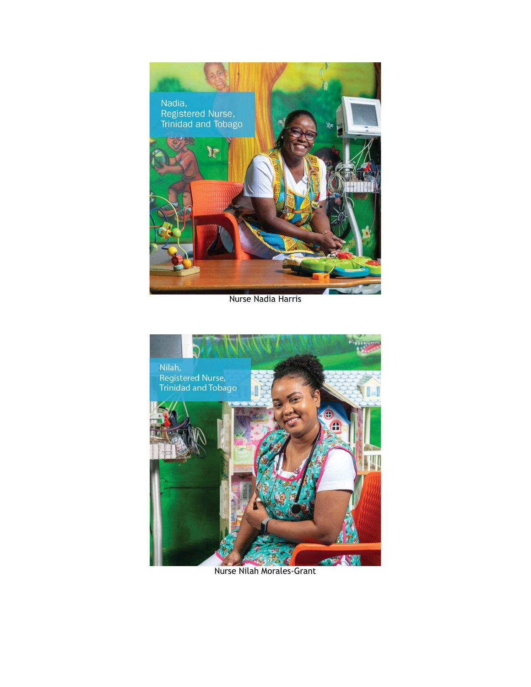

Nurse Nadia Harris



Nurse Nilah Morales-Grant